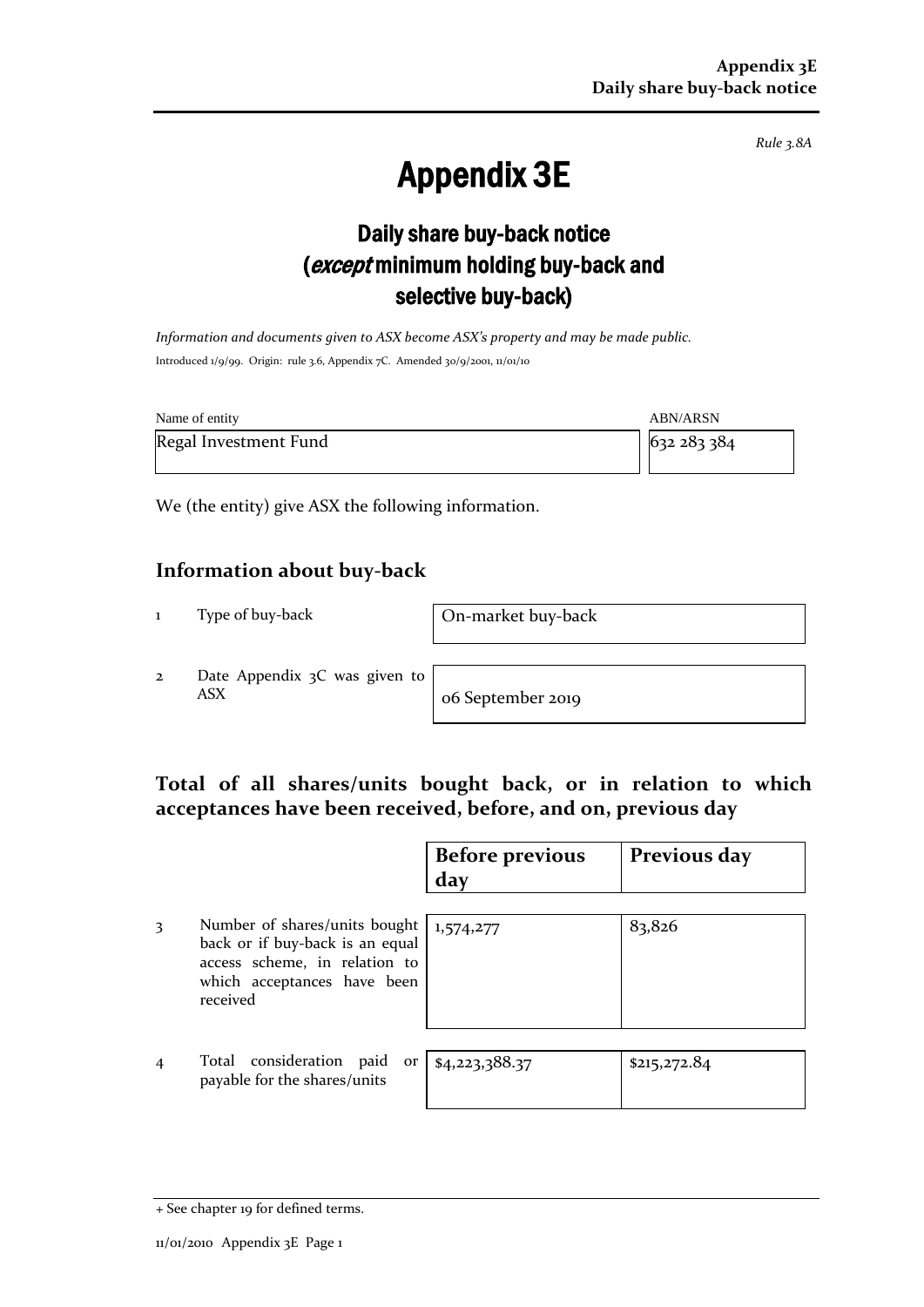*Rule 3.8A*

# Appendix 3E

## Daily share buy-back notice (except minimum holding buy-back and selective buy-back)

*Information and documents given to ASX become ASX's property and may be made public.* Introduced 1/9/99. Origin: rule 3.6, Appendix 7C. Amended 30/9/2001, 11/01/10

| Name of entity        | <b>ABN/ARSN</b> |
|-----------------------|-----------------|
| Regal Investment Fund | 632 283 384     |

We (the entity) give ASX the following information.

#### **Information about buy-back**

1 Type of buy-back On-market buy-back

2 Date Appendix 3C was given to ASX o6 September 2019

#### **Total of all shares/units bought back, or in relation to which acceptances have been received, before, and on, previous day**

|                |                                                                                                                                              | <b>Before previous</b><br>day | Previous day |
|----------------|----------------------------------------------------------------------------------------------------------------------------------------------|-------------------------------|--------------|
| 3              | Number of shares/units bought<br>back or if buy-back is an equal<br>access scheme, in relation to<br>which acceptances have been<br>received | 1,574,277                     | 83,826       |
| $\overline{4}$ | Total consideration paid<br>or<br>payable for the shares/units                                                                               | \$4,223,388.37                | \$215,272.84 |

<sup>+</sup> See chapter 19 for defined terms.